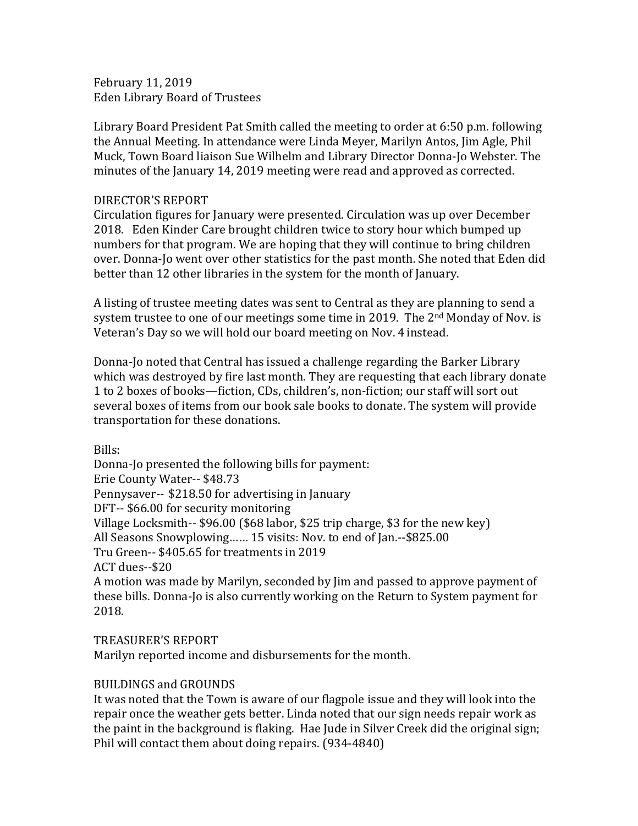February 11, 2019 Eden Library Board of Trustees

Library Board President Pat Smith called the meeting to order at 6:50 p.m. following the Annual Meeting. In attendance were Linda Meyer, Marilyn Antos, Jim Agle, Phil Muck, Town Board liaison Sue Wilhelm and Library Director Donna-Jo Webster. The minutes of the January 14, 2019 meeting were read and approved as corrected.

## DIRECTOR'S REPORT

Circulation figures for January were presented. Circulation was up over December 2018. Eden Kinder Care brought children twice to story hour which bumped up numbers for that program. We are hoping that they will continue to bring children over. Donna-Jo went over other statistics for the past month. She noted that Eden did better than 12 other libraries in the system for the month of January.

A listing of trustee meeting dates was sent to Central as they are planning to send a system trustee to one of our meetings some time in 2019. The  $2<sup>nd</sup>$  Monday of Nov. is Veteran's Day so we will hold our board meeting on Nov. 4 instead.

Donna-Jo noted that Central has issued a challenge regarding the Barker Library which was destroyed by fire last month. They are requesting that each library donate 1 to 2 boxes of books—fiction, CDs, children's, non-fiction; our staff will sort out several boxes of items from our book sale books to donate. The system will provide transportation for these donations.

Bills:

Donna-Jo presented the following bills for payment: Erie County Water-- \$48.73 Pennysaver-- \$218.50 for advertising in January DFT-- \$66.00 for security monitoring Village Locksmith-- \$96.00 (\$68 labor, \$25 trip charge, \$3 for the new key) All Seasons Snowplowing…… 15 visits: Nov. to end of Jan.--\$825.00 Tru Green-- \$405.65 for treatments in 2019 ACT dues--\$20 A motion was made by Marilyn, seconded by Jim and passed to approve payment of

these bills. Donna-Jo is also currently working on the Return to System payment for 2018.

TREASURER'S REPORT Marilyn reported income and disbursements for the month.

## BUILDINGS and GROUNDS

It was noted that the Town is aware of our flagpole issue and they will look into the repair once the weather gets better. Linda noted that our sign needs repair work as the paint in the background is flaking. Hae Jude in Silver Creek did the original sign; Phil will contact them about doing repairs. (934-4840)